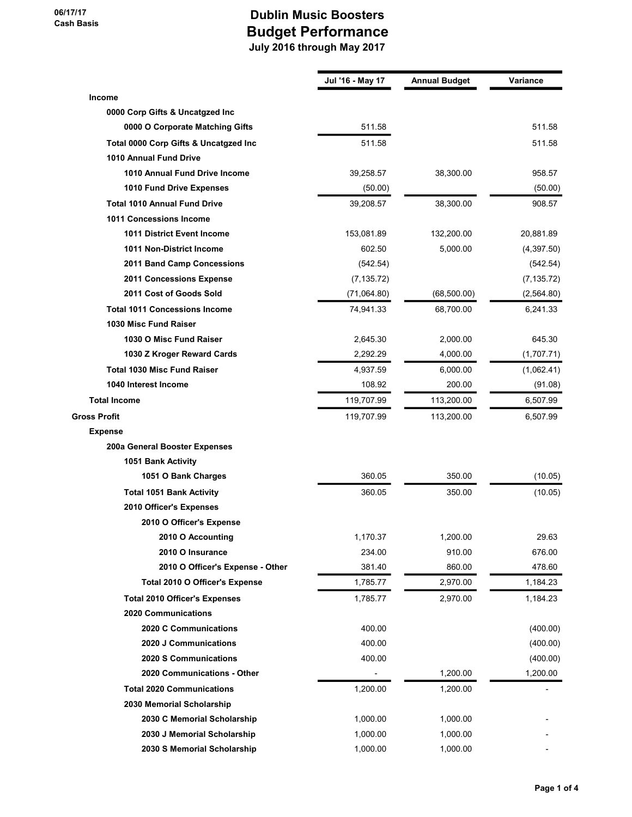|                                       | Jul '16 - May 17 | <b>Annual Budget</b> | Variance    |
|---------------------------------------|------------------|----------------------|-------------|
| Income                                |                  |                      |             |
| 0000 Corp Gifts & Uncatgzed Inc       |                  |                      |             |
| 0000 O Corporate Matching Gifts       | 511.58           |                      | 511.58      |
| Total 0000 Corp Gifts & Uncatgzed Inc | 511.58           |                      | 511.58      |
| 1010 Annual Fund Drive                |                  |                      |             |
| 1010 Annual Fund Drive Income         | 39,258.57        | 38,300.00            | 958.57      |
| 1010 Fund Drive Expenses              | (50.00)          |                      | (50.00)     |
| <b>Total 1010 Annual Fund Drive</b>   | 39,208.57        | 38,300.00            | 908.57      |
| 1011 Concessions Income               |                  |                      |             |
| <b>1011 District Event Income</b>     | 153,081.89       | 132,200.00           | 20,881.89   |
| 1011 Non-District Income              | 602.50           | 5,000.00             | (4,397.50)  |
| 2011 Band Camp Concessions            | (542.54)         |                      | (542.54)    |
| 2011 Concessions Expense              | (7, 135.72)      |                      | (7, 135.72) |
| 2011 Cost of Goods Sold               | (71,064.80)      | (68, 500.00)         | (2,564.80)  |
| <b>Total 1011 Concessions Income</b>  | 74,941.33        | 68,700.00            | 6,241.33    |
| 1030 Misc Fund Raiser                 |                  |                      |             |
| 1030 O Misc Fund Raiser               | 2,645.30         | 2,000.00             | 645.30      |
| 1030 Z Kroger Reward Cards            | 2,292.29         | 4,000.00             | (1,707.71)  |
| <b>Total 1030 Misc Fund Raiser</b>    | 4,937.59         | 6,000.00             | (1,062.41)  |
| 1040 Interest Income                  | 108.92           | 200.00               | (91.08)     |
| <b>Total Income</b>                   | 119,707.99       | 113,200.00           | 6,507.99    |
| Gross Profit                          | 119,707.99       | 113,200.00           | 6,507.99    |
| <b>Expense</b>                        |                  |                      |             |
| 200a General Booster Expenses         |                  |                      |             |
| 1051 Bank Activity                    |                  |                      |             |
| 1051 O Bank Charges                   | 360.05           | 350.00               | (10.05)     |
| <b>Total 1051 Bank Activity</b>       | 360.05           | 350.00               | (10.05)     |
| 2010 Officer's Expenses               |                  |                      |             |
| 2010 O Officer's Expense              |                  |                      |             |
| 2010 O Accounting                     | 1,170.37         | 1,200.00             | 29.63       |
| 2010 O Insurance                      | 234.00           | 910.00               | 676.00      |
| 2010 O Officer's Expense - Other      | 381.40           | 860.00               | 478.60      |
| Total 2010 O Officer's Expense        | 1,785.77         | 2,970.00             | 1,184.23    |
| <b>Total 2010 Officer's Expenses</b>  | 1,785.77         | 2,970.00             | 1,184.23    |
| <b>2020 Communications</b>            |                  |                      |             |
| 2020 C Communications                 | 400.00           |                      | (400.00)    |
| 2020 J Communications                 | 400.00           |                      | (400.00)    |
| 2020 S Communications                 | 400.00           |                      | (400.00)    |
| 2020 Communications - Other           |                  | 1,200.00             | 1,200.00    |
| <b>Total 2020 Communications</b>      | 1,200.00         | 1,200.00             |             |
| 2030 Memorial Scholarship             |                  |                      |             |
| 2030 C Memorial Scholarship           | 1,000.00         | 1,000.00             |             |
| 2030 J Memorial Scholarship           | 1,000.00         | 1,000.00             |             |
| 2030 S Memorial Scholarship           | 1,000.00         | 1,000.00             |             |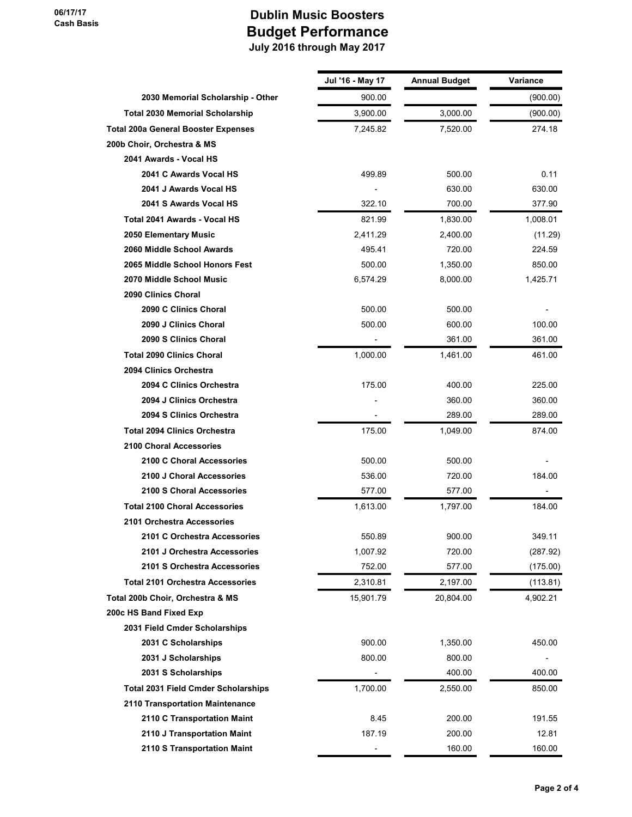|                                            | Jul '16 - May 17 | <b>Annual Budget</b> | Variance |
|--------------------------------------------|------------------|----------------------|----------|
| 2030 Memorial Scholarship - Other          | 900.00           |                      | (900.00) |
| <b>Total 2030 Memorial Scholarship</b>     | 3,900.00         | 3,000.00             | (900.00) |
| <b>Total 200a General Booster Expenses</b> | 7,245.82         | 7,520.00             | 274.18   |
| 200b Choir, Orchestra & MS                 |                  |                      |          |
| 2041 Awards - Vocal HS                     |                  |                      |          |
| 2041 C Awards Vocal HS                     | 499.89           | 500.00               | 0.11     |
| 2041 J Awards Vocal HS                     |                  | 630.00               | 630.00   |
| 2041 S Awards Vocal HS                     | 322.10           | 700.00               | 377.90   |
| Total 2041 Awards - Vocal HS               | 821.99           | 1.830.00             | 1,008.01 |
| 2050 Elementary Music                      | 2,411.29         | 2,400.00             | (11.29)  |
| 2060 Middle School Awards                  | 495.41           | 720.00               | 224.59   |
| 2065 Middle School Honors Fest             | 500.00           | 1,350.00             | 850.00   |
| 2070 Middle School Music                   | 6,574.29         | 8,000.00             | 1,425.71 |
| 2090 Clinics Choral                        |                  |                      |          |
| 2090 C Clinics Choral                      | 500.00           | 500.00               |          |
| 2090 J Clinics Choral                      | 500.00           | 600.00               | 100.00   |
| 2090 S Clinics Choral                      |                  | 361.00               | 361.00   |
| <b>Total 2090 Clinics Choral</b>           | 1,000.00         | 1,461.00             | 461.00   |
| 2094 Clinics Orchestra                     |                  |                      |          |
| 2094 C Clinics Orchestra                   | 175.00           | 400.00               | 225.00   |
| 2094 J Clinics Orchestra                   |                  | 360.00               | 360.00   |
| 2094 S Clinics Orchestra                   |                  | 289.00               | 289.00   |
| <b>Total 2094 Clinics Orchestra</b>        | 175.00           | 1,049.00             | 874.00   |
| <b>2100 Choral Accessories</b>             |                  |                      |          |
| 2100 C Choral Accessories                  | 500.00           | 500.00               |          |
| 2100 J Choral Accessories                  | 536.00           | 720.00               | 184.00   |
| 2100 S Choral Accessories                  | 577.00           | 577.00               |          |
| <b>Total 2100 Choral Accessories</b>       | 1,613.00         | 1,797.00             | 184.00   |
| 2101 Orchestra Accessories                 |                  |                      |          |
| 2101 C Orchestra Accessories               | 550.89           | 900.00               | 349.11   |
| 2101 J Orchestra Accessories               | 1,007.92         | 720.00               | (287.92) |
| 2101 S Orchestra Accessories               | 752.00           | 577.00               | (175.00) |
| <b>Total 2101 Orchestra Accessories</b>    | 2,310.81         | 2,197.00             | (113.81) |
| Total 200b Choir, Orchestra & MS           | 15,901.79        | 20,804.00            | 4,902.21 |
| 200c HS Band Fixed Exp                     |                  |                      |          |
| 2031 Field Cmder Scholarships              |                  |                      |          |
| 2031 C Scholarships                        | 900.00           | 1,350.00             | 450.00   |
| 2031 J Scholarships                        | 800.00           | 800.00               |          |
| 2031 S Scholarships                        |                  | 400.00               | 400.00   |
| <b>Total 2031 Field Cmder Scholarships</b> | 1,700.00         | 2,550.00             | 850.00   |
| 2110 Transportation Maintenance            |                  |                      |          |
| 2110 C Transportation Maint                | 8.45             | 200.00               | 191.55   |
| 2110 J Transportation Maint                | 187.19           | 200.00               | 12.81    |
| 2110 S Transportation Maint                |                  | 160.00               | 160.00   |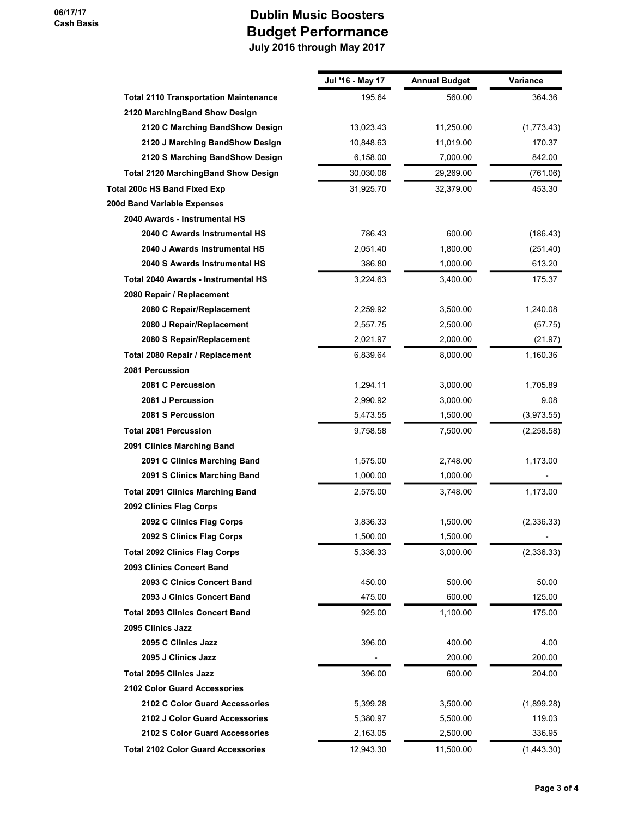|                                              | Jul '16 - May 17 | <b>Annual Budget</b> | Variance   |
|----------------------------------------------|------------------|----------------------|------------|
| <b>Total 2110 Transportation Maintenance</b> | 195.64           | 560.00               | 364.36     |
| 2120 MarchingBand Show Design                |                  |                      |            |
| 2120 C Marching BandShow Design              | 13,023.43        | 11,250.00            | (1,773.43) |
| 2120 J Marching BandShow Design              | 10,848.63        | 11,019.00            | 170.37     |
| 2120 S Marching BandShow Design              | 6,158.00         | 7,000.00             | 842.00     |
| <b>Total 2120 MarchingBand Show Design</b>   | 30,030.06        | 29,269.00            | (761.06)   |
| <b>Total 200c HS Band Fixed Exp</b>          | 31,925.70        | 32,379.00            | 453.30     |
| 200d Band Variable Expenses                  |                  |                      |            |
| 2040 Awards - Instrumental HS                |                  |                      |            |
| 2040 C Awards Instrumental HS                | 786.43           | 600.00               | (186.43)   |
| 2040 J Awards Instrumental HS                | 2,051.40         | 1,800.00             | (251.40)   |
| 2040 S Awards Instrumental HS                | 386.80           | 1,000.00             | 613.20     |
| Total 2040 Awards - Instrumental HS          | 3,224.63         | 3,400.00             | 175.37     |
| 2080 Repair / Replacement                    |                  |                      |            |
| 2080 C Repair/Replacement                    | 2,259.92         | 3,500.00             | 1,240.08   |
| 2080 J Repair/Replacement                    | 2,557.75         | 2,500.00             | (57.75)    |
| 2080 S Repair/Replacement                    | 2,021.97         | 2,000.00             | (21.97)    |
| Total 2080 Repair / Replacement              | 6,839.64         | 8,000.00             | 1,160.36   |
| 2081 Percussion                              |                  |                      |            |
| 2081 C Percussion                            | 1,294.11         | 3,000.00             | 1,705.89   |
| 2081 J Percussion                            | 2,990.92         | 3,000.00             | 9.08       |
| 2081 S Percussion                            | 5,473.55         | 1,500.00             | (3,973.55) |
| <b>Total 2081 Percussion</b>                 | 9,758.58         | 7,500.00             | (2,258.58) |
| 2091 Clinics Marching Band                   |                  |                      |            |
| 2091 C Clinics Marching Band                 | 1,575.00         | 2,748.00             | 1,173.00   |
| 2091 S Clinics Marching Band                 | 1,000.00         | 1,000.00             |            |
| <b>Total 2091 Clinics Marching Band</b>      | 2,575.00         | 3,748.00             | 1,173.00   |
| 2092 Clinics Flag Corps                      |                  |                      |            |
| 2092 C Clinics Flag Corps                    | 3,836.33         | 1,500.00             | (2,336.33) |
| 2092 S Clinics Flag Corps                    | 1,500.00         | 1,500.00             |            |
| <b>Total 2092 Clinics Flag Corps</b>         | 5,336.33         | 3,000.00             | (2,336.33) |
| 2093 Clinics Concert Band                    |                  |                      |            |
| 2093 C Cinics Concert Band                   | 450.00           | 500.00               | 50.00      |
| 2093 J Cinics Concert Band                   | 475.00           | 600.00               | 125.00     |
| <b>Total 2093 Clinics Concert Band</b>       | 925.00           | 1,100.00             | 175.00     |
| 2095 Clinics Jazz                            |                  |                      |            |
| 2095 C Clinics Jazz                          | 396.00           | 400.00               | 4.00       |
| 2095 J Clinics Jazz                          |                  | 200.00               | 200.00     |
| <b>Total 2095 Clinics Jazz</b>               | 396.00           | 600.00               | 204.00     |
| <b>2102 Color Guard Accessories</b>          |                  |                      |            |
| 2102 C Color Guard Accessories               | 5,399.28         | 3,500.00             | (1,899.28) |
| 2102 J Color Guard Accessories               | 5,380.97         | 5,500.00             | 119.03     |
| 2102 S Color Guard Accessories               | 2,163.05         | 2,500.00             | 336.95     |
| <b>Total 2102 Color Guard Accessories</b>    | 12,943.30        | 11,500.00            | (1,443.30) |